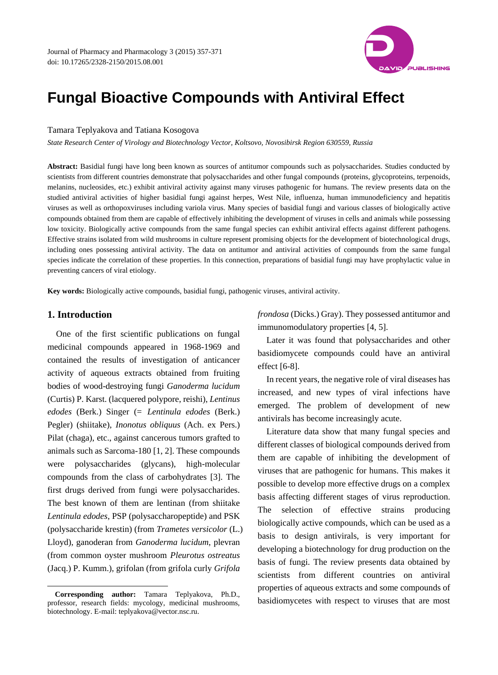

# **Fungal Bioactive Compounds with Antiviral Effect**

## Tamara Teplyakova and Tatiana Kosogova

*State Research Center of Virology and Biotechnology Vector, Koltsovo, Novosibirsk Region 630559, Russia*

**Abstract:** Basidial fungi have long been known as sources of antitumor compounds such as polysaccharides. Studies conducted by scientists from different countries demonstrate that polysaccharides and other fungal compounds (proteins, glycoproteins, terpenoids, melanins, nucleosides, etc.) exhibit antiviral activity against many viruses pathogenic for humans. The review presents data on the studied antiviral activities of higher basidial fungi against herpes, West Nile, influenza, human immunodeficiency and hepatitis viruses as well as orthopoxviruses including variola virus. Many species of basidial fungi and various classes of biologically active compounds obtained from them are capable of effectively inhibiting the development of viruses in cells and animals while possessing low toxicity. Biologically active compounds from the same fungal species can exhibit antiviral effects against different pathogens. Effective strains isolated from wild mushrooms in culture represent promising objects for the development of biotechnological drugs, including ones possessing antiviral activity. The data on antitumor and antiviral activities of compounds from the same fungal species indicate the correlation of these properties. In this connection, preparations of basidial fungi may have prophylactic value in preventing cancers of viral etiology.

**Key words:** Biologically active compounds, basidial fungi, pathogenic viruses, antiviral activity.

## **1. Introduction**

 $\overline{\phantom{a}}$ 

One of the first scientific publications on fungal medicinal compounds appeared in 1968-1969 and contained the results of investigation of anticancer activity of aqueous extracts obtained from fruiting bodies of wood-destroying fungi *Ganoderma lucidum* (Curtis) P. Karst. (lacquered polypore, reishi), *Lentinus edodes* (Berk.) Singer (= *Lentinula edodes* (Berk.) Pegler) (shiitake), *Inonotus obliquus* (Ach. ex Pers.) Pilat (chaga), etc., against cancerous tumors grafted to animals such as Sarcoma-180 [1, 2]. These compounds were polysaccharides (glycans), high-molecular compounds from the class of carbohydrates [3]. The first drugs derived from fungi were polysaccharides. The best known of them are lentinan (from shiitake *Lentinula edodes*, PSP (polysaccharopeptide) and PSK (polysaccharide krestin) (from *Trametes versicolor* (L.) Lloyd), ganoderan from *Ganoderma lucidum*, plevran (from common oyster mushroom *Pleurotus ostreatus* (Jacq.) P. Kumm.), grifolan (from grifola curly *Grifola* 

*frondosa* (Dicks.) Gray). They possessed antitumor and immunomodulatory properties [4, 5].

Later it was found that polysaccharides and other basidiomycete compounds could have an antiviral effect [6-8].

In recent years, the negative role of viral diseases has increased, and new types of viral infections have emerged. The problem of development of new antivirals has become increasingly acute.

Literature data show that many fungal species and different classes of biological compounds derived from them are capable of inhibiting the development of viruses that are pathogenic for humans. This makes it possible to develop more effective drugs on a complex basis affecting different stages of virus reproduction. The selection of effective strains producing biologically active compounds, which can be used as a basis to design antivirals, is very important for developing a biotechnology for drug production on the basis of fungi. The review presents data obtained by scientists from different countries on antiviral properties of aqueous extracts and some compounds of basidiomycetes with respect to viruses that are most

**Corresponding author:** Tamara Teplyakova, Ph.D., professor, research fields: mycology, medicinal mushrooms, biotechnology. E-mail: [teplyakova@vector.nsc.ru.](mailto:teplyakova@vector.nsc.ru)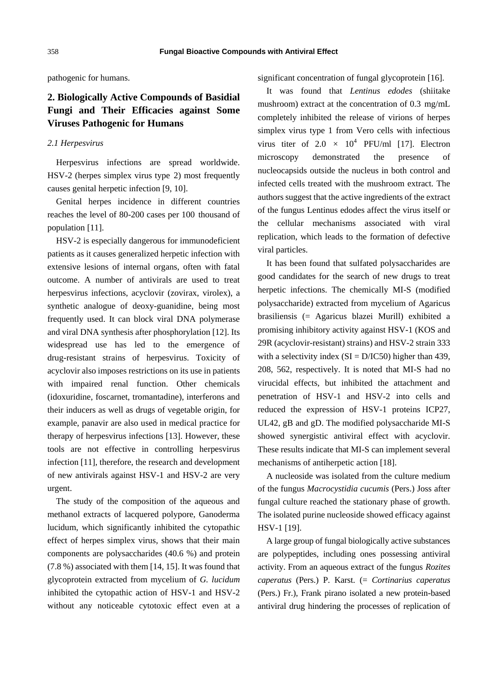pathogenic for humans.

## **2. Biologically Active Compounds of Basidial Fungi and Their Efficacies against Some Viruses Pathogenic for Humans**

#### *2.1 Herpesvirus*

Herpesvirus infections are spread worldwide. HSV-2 (herpes simplex virus type 2) most frequently causes genital herpetic infection [9, 10].

Genital herpes incidence in different countries reaches the level of 80-200 cases per 100 thousand of population [11].

HSV-2 is especially dangerous for immunodeficient patients as it causes generalized herpetic infection with extensive lesions of internal organs, often with fatal outcome. A number of antivirals are used to treat herpesvirus infections, acyclovir (zovirax, virolex), a synthetic analogue of deoxy-guanidine, being most frequently used. It can block viral DNA polymerase and viral DNA synthesis after phosphorylation [12]. Its widespread use has led to the emergence of drug-resistant strains of herpesvirus. Toxicity of acyclovir also imposes restrictions on its use in patients with impaired renal function. Other chemicals (idoxuridine, foscarnet, tromantadine), interferons and their inducers as well as drugs of vegetable origin, for example, panavir are also used in medical practice for therapy of herpesvirus infections [13]. However, these tools are not effective in controlling herpesvirus infection [11], therefore, the research and development of new antivirals against HSV-1 and HSV-2 are very urgent.

The study of the composition of the aqueous and methanol extracts of lacquered polypore, Ganoderma lucidum, which significantly inhibited the cytopathic effect of herpes simplex virus, shows that their main components are polysaccharides (40.6 %) and protein (7.8 %) associated with them [14, 15]. It was found that glycoprotein extracted from mycelium of *G. lucidum* inhibited the cytopathic action of HSV-1 and HSV-2 without any noticeable cytotoxic effect even at a significant concentration of fungal glycoprotein [16].

It was found that *Lentinus edodes* (shiitake mushroom) extract at the concentration of 0.3 mg/mL completely inhibited the release of virions of herpes simplex virus type 1 from Vero cells with infectious virus titer of  $2.0 \times 10^4$  PFU/ml [17]. Electron microscopy demonstrated the presence of nucleocapsids outside the nucleus in both control and infected cells treated with the mushroom extract. The authors suggest that the active ingredients of the extract of the fungus Lentinus edodes affect the virus itself or the cellular mechanisms associated with viral replication, which leads to the formation of defective viral particles.

It has been found that sulfated polysaccharides are good candidates for the search of new drugs to treat herpetic infections. The chemically MI-S (modified polysaccharide) extracted from mycelium of Agaricus brasiliensis (= Agaricus blazei Murill) exhibited a promising inhibitory activity against HSV-1 (KOS and 29R (acyclovir-resistant) strains) and HSV-2 strain 333 with a selectivity index  $(SI = D/IC50)$  higher than 439, 208, 562, respectively. It is noted that MI-S had no virucidal effects, but inhibited the attachment and penetration of HSV-1 and HSV-2 into cells and reduced the expression of HSV-1 proteins ICP27, UL42, gB and gD. The modified polysaccharide MI-S showed synergistic antiviral effect with acyclovir. These results indicate that MI-S can implement several mechanisms of antiherpetic action [18].

A nucleoside was isolated from the culture medium of the fungus *Macrocystidia cucumis* (Pers.) Joss after fungal culture reached the stationary phase of growth. The isolated purine nucleoside showed efficacy against HSV-1 [19].

A large group of fungal biologically active substances are polypeptides, including ones possessing antiviral activity. From an aqueous extract of the fungus *Rozites caperatus* (Pers.) P. Karst. (= *Cortinarius caperatus* (Pers.) Fr.), Frank pirano isolated a new protein-based antiviral drug hindering the processes of replication of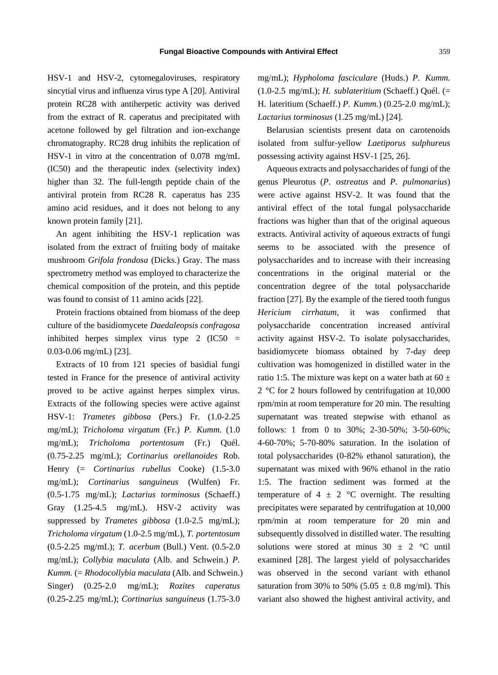HSV-1 and HSV-2, cytomegaloviruses, respiratory sincytial virus and influenza virus type A [20]. Antiviral protein RC28 with antiherpetic activity was derived from the extract of R. caperatus and precipitated with acetone followed by gel filtration and ion-exchange chromatography. RC28 drug inhibits the replication of HSV-1 in vitro at the concentration of 0.078 mg/mL (IC50) and the therapeutic index (selectivity index) higher than 32. The full-length peptide chain of the antiviral protein from RC28 R. caperatus has 235 amino acid residues, and it does not belong to any known protein family [21].

An agent inhibiting the HSV-1 replication was isolated from the extract of fruiting body of maitake mushroom *Grifola frondosa* (Dicks.) Gray. The mass spectrometry method was employed to characterize the chemical composition of the protein, and this peptide was found to consist of 11 amino acids [22].

Protein fractions obtained from biomass of the deep culture of the basidiomycete *Daedaleopsis confragosa* inhibited herpes simplex virus type 2 (IC50 = 0.03-0.06 mg/mL) [23].

Extracts of 10 from 121 species of basidial fungi tested in France for the presence of antiviral activity proved to be active against herpes simplex virus. Extracts of the following species were active against HSV-1: *Trametes gibbosa* (Pers.) Fr. (1.0-2.25 mg/mL); *Tricholoma virgatum* (Fr.) *P. Kumm.* (1.0 mg/mL); *Tricholoma portentosum* (Fr.) Quél. (0.75-2.25 mg/mL); *Cortinarius orellanoides* Rob. Henry (= *Cortinarius rubellus* Cooke) (1.5-3.0 mg/mL); *Cortinarius sanguineus* (Wulfen) Fr. (0.5-1.75 mg/mL); *Lactarius torminosus* (Schaeff.) Gray (1.25-4.5 mg/mL). HSV-2 activity was suppressed by *Trametes gibbosa* (1.0-2.5 mg/mL); *Tricholoma virgatum* (1.0-2.5 mg/mL), *T. portentosum* (0.5-2.25 mg/mL); *T. acerbum* (Bull.) Vent. (0.5-2.0 mg/mL); *Collybia maculata* (Alb. and Schwein.) *P. Kumm.* (= *Rhodocollybia maculata* (Alb. and Schwein.) Singer) (0.25-2.0 mg/mL); *Rozites caperatus* (0.25-2.25 mg/mL); *Cortinarius sanguineus* (1.75-3.0

mg/mL); *Hypholoma fasciculare* (Huds.) *P. Kumm.* (1.0-2.5 mg/mL); *H. sublateritium* (Schaeff.) Quél. (= H. lateritium (Schaeff.) *P. Kumm.*) (0.25-2.0 mg/mL); *Lactarius torminosus* (1.25 mg/mL) [24].

Belarusian scientists present data on carotenoids isolated from sulfur-yellow *Laetiporus sulphureus*  possessing activity against HSV-1 [25, 26].

Aqueous extracts and polysaccharides of fungi of the genus Pleurotus (*P. ostreatus* and *P. pulmonarius*) were active against HSV-2. It was found that the antiviral effect of the total fungal polysaccharide fractions was higher than that of the original aqueous extracts. Antiviral activity of aqueous extracts of fungi seems to be associated with the presence of polysaccharides and to increase with their increasing concentrations in the original material or the concentration degree of the total polysaccharide fraction [27]. By the example of the tiered tooth fungus *Hericium cirrhatum*, it was confirmed that polysaccharide concentration increased antiviral activity against HSV-2. To isolate polysaccharides, basidiomycete biomass obtained by 7-day deep cultivation was homogenized in distilled water in the ratio 1:5. The mixture was kept on a water bath at  $60 \pm$ 2 °C for 2 hours followed by centrifugation at 10,000 rpm/min at room temperature for 20 min. The resulting supernatant was treated stepwise with ethanol as follows: 1 from 0 to 30%; 2-30-50%; 3-50-60%; 4-60-70%; 5-70-80% saturation. In the isolation of total polysaccharides (0-82% ethanol saturation), the supernatant was mixed with 96% ethanol in the ratio 1:5. The fraction sediment was formed at the temperature of 4  $\pm$  2 °C overnight. The resulting precipitates were separated by centrifugation at 10,000 rpm/min at room temperature for 20 min and subsequently dissolved in distilled water. The resulting solutions were stored at minus  $30 \pm 2$  °C until examined [28]. The largest yield of polysaccharides was observed in the second variant with ethanol saturation from 30% to 50% (5.05  $\pm$  0.8 mg/ml). This variant also showed the highest antiviral activity, and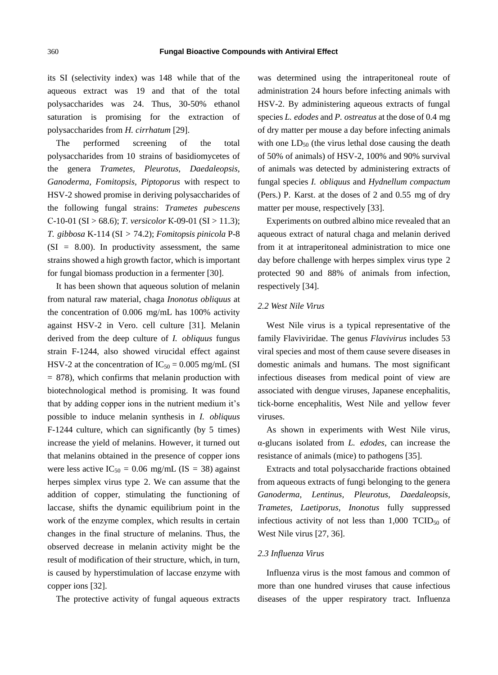its SI (selectivity index) was 148 while that of the aqueous extract was 19 and that of the total polysaccharides was 24. Thus, 30-50% ethanol saturation is promising for the extraction of polysaccharides from *H. cirrhatum* [29].

The performed screening of the total polysaccharides from 10 strains of basidiomycetes of the genera *Trametes, Pleurotus, Daedaleopsis, Ganoderma, Fomitopsis, Piptoporus* with respect to HSV-2 showed promise in deriving polysaccharides of the following fungal strains: *Trametes pubescens* С-10-01 (SI > 68.6); *T. versicolor* К-09-01 (SI > 11.3); *T. gibbosa* K-114 (SI > 74.2); *Fomitopsis pinicola* P-8  $(SI = 8.00)$ . In productivity assessment, the same strains showed a high growth factor, which is important for fungal biomass production in a fermenter [30].

It has been shown that aqueous solution of melanin from natural raw material, chaga *Inonotus obliquus* at the concentration of 0.006 mg/mL has 100% activity against HSV-2 in Vero. cell culture [31]. Melanin derived from the deep culture of *I. obliquus* fungus strain F-1244, also showed virucidal effect against HSV-2 at the concentration of  $IC_{50} = 0.005$  mg/mL (SI  $= 878$ ), which confirms that melanin production with biotechnological method is promising. It was found that by adding copper ions in the nutrient medium it's possible to induce melanin synthesis in *I. obliquus* F-1244 culture, which can significantly (by 5 times) increase the yield of melanins. However, it turned out that melanins obtained in the presence of copper ions were less active  $IC_{50} = 0.06$  mg/mL (IS = 38) against herpes simplex virus type 2. We can assume that the addition of copper, stimulating the functioning of laccase, shifts the dynamic equilibrium point in the work of the enzyme complex, which results in certain changes in the final structure of melanins. Thus, the observed decrease in melanin activity might be the result of modification of their structure, which, in turn, is caused by hyperstimulation of laccase enzyme with copper ions [32].

The protective activity of fungal aqueous extracts

was determined using the intraperitoneal route of administration 24 hours before infecting animals with HSV-2. By administering aqueous extracts of fungal species *L. edodes* and *P. ostreatus* at the dose of 0.4 mg of dry matter per mouse a day before infecting animals with one  $LD_{50}$  (the virus lethal dose causing the death of 50% of animals) of HSV-2, 100% and 90% survival of animals was detected by administering extracts of fungal species *I. obliquus* and *Hydnellum compactum* (Pers.) P. Karst. at the doses of 2 and 0.55 mg of dry matter per mouse, respectively [33].

Experiments on outbred albino mice revealed that an aqueous extract of natural chaga and melanin derived from it at intraperitoneal administration to mice one day before challenge with herpes simplex virus type 2 protected 90 and 88% of animals from infection, respectively [34].

## *2.2 West Nile Virus*

West Nile virus is a typical representative of the family Flaviviridae. The genus *Flavivirus* includes 53 viral species and most of them cause severe diseases in domestic animals and humans. The most significant infectious diseases from medical point of view are associated with dengue viruses, Japanese encephalitis, tick-borne encephalitis, West Nile and yellow fever viruses.

As shown in experiments with West Nile virus, α-glucans isolated from *L. edodes*, can increase the resistance of animals (mice) to pathogens [35].

Extracts and total polysaccharide fractions obtained from aqueous extracts of fungi belonging to the genera *Ganoderma, Lentinus, Pleurotus, Daedaleopsis, Trametes, Laetiporus, Inonotus* fully suppressed infectious activity of not less than  $1,000$  TCID<sub>50</sub> of West Nile virus [27, 36].

## *2.3 Influenza Virus*

Influenza virus is the most famous and common of more than one hundred viruses that cause infectious diseases of the upper respiratory tract. Influenza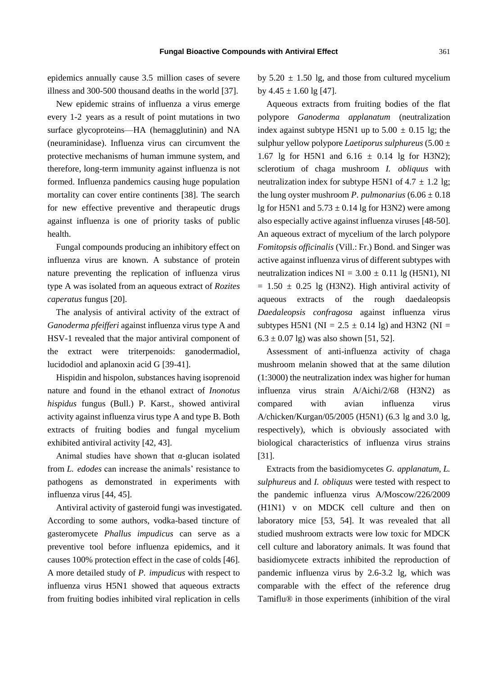epidemics annually cause 3.5 million cases of severe illness and 300-500 thousand deaths in the world [37].

New epidemic strains of influenza a virus emerge every 1-2 years as a result of point mutations in two surface glycoproteins—HA (hemagglutinin) and NA (neuraminidase). Influenza virus can circumvent the protective mechanisms of human immune system, and therefore, long-term immunity against influenza is not formed. Influenza pandemics causing huge population mortality can cover entire continents [38]. The search for new effective preventive and therapeutic drugs against influenza is one of priority tasks of public health.

Fungal compounds producing an inhibitory effect on influenza virus are known. A substance of protein nature preventing the replication of influenza virus type A was isolated from an aqueous extract of *Rozites caperatus* fungus [20].

The analysis of antiviral activity of the extract of *Ganoderma pfeifferi* against influenza virus type A and HSV-1 revealed that the major antiviral component of the extract were triterpenoids: ganodermadiol, lucidodiol and aplanoxin acid G [39-41].

Hispidin and hispolon, substances having isoprenoid nature and found in the ethanol extract of *Inonotus hispidus* fungus (Bull.) P. Karst., showed antiviral activity against influenza virus type A and type B. Both extracts of fruiting bodies and fungal mycelium exhibited antiviral activity [42, 43].

Animal studies have shown that α-glucan isolated from *L. edodes* can increase the animals' resistance to pathogens as demonstrated in experiments with influenza virus [44, 45].

Antiviral activity of gasteroid fungi was investigated. According to some authors, vodka-based tincture of gasteromycete *Phallus impudicus* can serve as a preventive tool before influenza epidemics, and it causes 100% protection effect in the case of colds [46]. A more detailed study of *P. impudicus* with respect to influenza virus H5N1 showed that aqueous extracts from fruiting bodies inhibited viral replication in cells

by  $5.20 \pm 1.50$  lg, and those from cultured mycelium by  $4.45 \pm 1.60$  lg [47].

Aqueous extracts from fruiting bodies of the flat polypore *Ganoderma applanatum* (neutralization index against subtype H5N1 up to  $5.00 \pm 0.15$  lg; the sulphur yellow polypore *Laetiporus sulphureus* (5.00 ± 1.67 lg for H5N1 and  $6.16 \pm 0.14$  lg for H3N2); sclerotium of chaga mushroom *I. obliquus* with neutralization index for subtype H5N1 of  $4.7 \pm 1.2$  lg; the lung oyster mushroom *P. pulmonarius*  $(6.06 \pm 0.18)$ lg for H5N1 and  $5.73 \pm 0.14$  lg for H3N2) were among also especially active against influenza viruses [48-50]. An aqueous extract of mycelium of the larch polypore *Fomitopsis officinalis* (Vill.: Fr.) Bond. and Singer was active against influenza virus of different subtypes with neutralization indices  $NI = 3.00 \pm 0.11$  lg (H5N1), NI  $= 1.50 \pm 0.25$  lg (H3N2). High antiviral activity of aqueous extracts of the rough daedaleopsis *Daedaleopsis confragosa* against influenza virus subtypes H5N1 ( $NI = 2.5 \pm 0.14$  lg) and H3N2 ( $NI =$  $6.3 \pm 0.07$  lg) was also shown [51, 52].

Assessment of anti-influenza activity of chaga mushroom melanin showed that at the same dilution (1:3000) the neutralization index was higher for human influenza virus strain A/Aichi/2/68 (H3N2) as compared with avian influenza virus A/chicken/Kurgan/05/2005 (H5N1) (6.3 lg and 3.0 lg, respectively), which is obviously associated with biological characteristics of influenza virus strains [31].

Extracts from the basidiomycetes *G. applanatum, L. sulphureus* and *I. obliquus* were tested with respect to the pandemic influenza virus A/Moscow/226/2009 (H1N1) v on MDCK cell culture and then on laboratory mice [53, 54]. It was revealed that all studied mushroom extracts were low toxic for MDCK cell culture and laboratory animals. It was found that basidiomycete extracts inhibited the reproduction of pandemic influenza virus by 2.6-3.2 lg, which was comparable with the effect of the reference drug Tamiflu® in those experiments (inhibition of the viral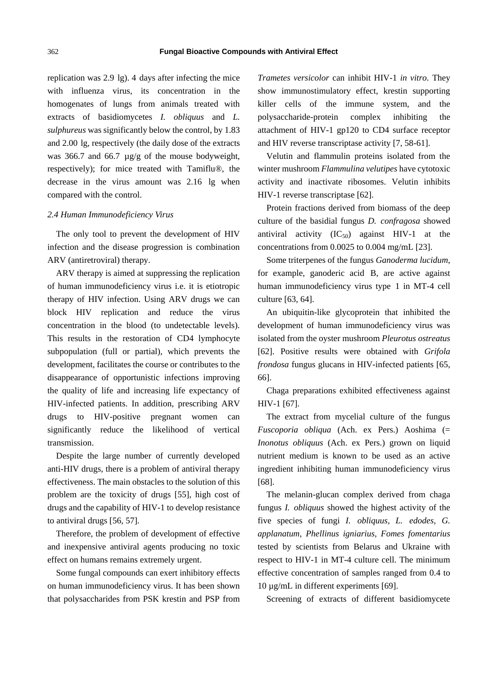replication was 2.9 lg). 4 days after infecting the mice with influenza virus, its concentration in the homogenates of lungs from animals treated with extracts of basidiomycetes *I. obliquus* and *L. sulphureus* was significantly below the control, by 1.83 and 2.00 lg, respectively (the daily dose of the extracts was 366.7 and 66.7 µg/g of the mouse bodyweight, respectively); for mice treated with Tamiflu® , the decrease in the virus amount was 2.16 lg when compared with the control.

#### *2.4 Human Immunodeficiency Virus*

The only tool to prevent the development of HIV infection and the disease progression is combination ARV (antiretroviral) therapy.

ARV therapy is aimed at suppressing the replication of human immunodeficiency virus i.e. it is etiotropic therapy of HIV infection. Using ARV drugs we can block HIV replication and reduce the virus concentration in the blood (to undetectable levels). This results in the restoration of CD4 lymphocyte subpopulation (full or partial), which prevents the development, facilitates the course or contributes to the disappearance of opportunistic infections improving the quality of life and increasing life expectancy of HIV-infected patients. In addition, prescribing ARV drugs to HIV-positive pregnant women can significantly reduce the likelihood of vertical transmission.

Despite the large number of currently developed anti-HIV drugs, there is a problem of antiviral therapy effectiveness. The main obstacles to the solution of this problem are the toxicity of drugs [55], high cost of drugs and the capability of HIV-1 to develop resistance to antiviral drugs [56, 57].

Therefore, the problem of development of effective and inexpensive antiviral agents producing no toxic effect on humans remains extremely urgent.

Some fungal compounds can exert inhibitory effects on human immunodeficiency virus. It has been shown that polysaccharides from PSK krestin and PSP from *Trametes versicolor* can inhibit HIV-1 *in vitro*. They show immunostimulatory effect, krestin supporting killer cells of the immune system, and the polysaccharide-protein complex inhibiting the attachment of HIV-1 gp120 to CD4 surface receptor and HIV reverse transcriptase activity [7, 58-61].

Velutin and flammulin proteins isolated from the winter mushroom *Flammulina velutipes* have cytotoxic activity and inactivate ribosomes. Velutin inhibits HIV-1 reverse transcriptase [62].

Protein fractions derived from biomass of the deep culture of the basidial fungus *D. confragosa* showed antiviral activity  $(IC_{50})$  against HIV-1 at the concentrations from 0.0025 to 0.004 mg/mL [23].

Some triterpenes of the fungus *Ganoderma lucidum*, for example, ganoderic acid B, are active against human immunodeficiency virus type 1 in MT-4 cell culture [63, 64].

An ubiquitin-like glycoprotein that inhibited the development of human immunodeficiency virus was isolated from the oyster mushroom *Pleurotus ostreatus* [62]. Positive results were obtained with *Grifola frondosa* fungus glucans in HIV-infected patients [65, 66].

Chaga preparations exhibited effectiveness against HIV-1 [67].

The extract from mycelial culture of the fungus *Fuscoporia obliqua* (Ach. ex Pers.) Aoshima (= *Inonotus obliquus* (Ach. ex Pers.) grown on liquid nutrient medium is known to be used as an active ingredient inhibiting human immunodeficiency virus [68].

The melanin-glucan complex derived from chaga fungus *I. obliquus* showed the highest activity of the five species of fungi *I. obliquus, L. edodes, G. applanatum, Phellinus igniarius, Fomes fomentarius* tested by scientists from Belarus and Ukraine with respect to HIV-1 in MT-4 culture cell. The minimum effective concentration of samples ranged from 0.4 to 10 µg/mL in different experiments [69].

Screening of extracts of different basidiomycete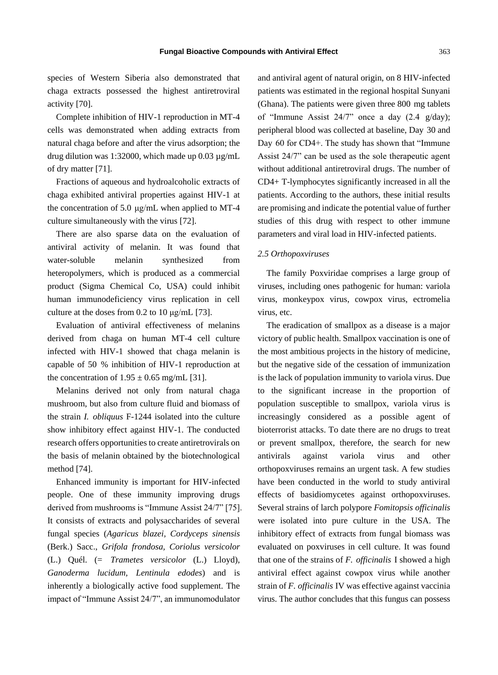species of Western Siberia also demonstrated that chaga extracts possessed the highest antiretroviral activity [70].

Complete inhibition of HIV-1 reproduction in MT-4 cells was demonstrated when adding extracts from natural chaga before and after the virus adsorption; the drug dilution was 1:32000, which made up 0.03 µg/mL of dry matter [71].

Fractions of aqueous and hydroalcoholic extracts of chaga exhibited antiviral properties against HIV-1 at the concentration of 5.0 μg/mL when applied to MT-4 culture simultaneously with the virus [72].

There are also sparse data on the evaluation of antiviral activity of melanin. It was found that water-soluble melanin synthesized from heteropolymers, which is produced as a commercial product (Sigma Chemical Co, USA) could inhibit human immunodeficiency virus replication in cell culture at the doses from 0.2 to 10 μg/mL [73].

Evaluation of antiviral effectiveness of melanins derived from chaga on human MT-4 cell culture infected with HIV-1 showed that chaga melanin is capable of 50 % inhibition of HIV-1 reproduction at the concentration of  $1.95 \pm 0.65$  mg/mL [31].

Melanins derived not only from natural chaga mushroom, but also from culture fluid and biomass of the strain *I. obliquus* F-1244 isolated into the culture show inhibitory effect against HIV-1. The conducted research offers opportunities to create antiretrovirals on the basis of melanin obtained by the biotechnological method [74].

Enhanced immunity is important for HIV-infected people. One of these immunity improving drugs derived from mushrooms is "Immune Assist 24/7" [75]. It consists of extracts and polysaccharides of several fungal species (*Agaricus blazei, Cordyceps sinensis* (Berk.) Sacc., *Grifola frondosa, Coriolus versicolor* (L.) Quél. (= *Trametes versicolor* (L.) Lloyd), *Ganoderma lucidum, Lentinula edodes*) and is inherently a biologically active food supplement. The impact of "Immune Assist 24/7", an immunomodulator

and antiviral agent of natural origin, on 8 HIV-infected patients was estimated in the regional hospital Sunyani (Ghana). The patients were given three 800 mg tablets of "Immune Assist 24/7" once a day (2.4 g/day); peripheral blood was collected at baseline, Day 30 and Day 60 for CD4+. The study has shown that "Immune Assist 24/7" can be used as the sole therapeutic agent without additional antiretroviral drugs. The number of CD4+ T-lymphocytes significantly increased in all the patients. According to the authors, these initial results are promising and indicate the potential value of further studies of this drug with respect to other immune parameters and viral load in HIV-infected patients.

#### *2.5 Orthopoxviruses*

The family Poxviridae comprises a large group of viruses, including ones pathogenic for human: variola virus, monkeypox virus, cowpox virus, ectromelia virus, etc.

The eradication of smallpox as a disease is a major victory of public health. Smallpox vaccination is one of the most ambitious projects in the history of medicine, but the negative side of the cessation of immunization is the lack of population immunity to variola virus. Due to the significant increase in the proportion of population susceptible to smallpox, variola virus is increasingly considered as a possible agent of bioterrorist attacks. To date there are no drugs to treat or prevent smallpox, therefore, the search for new antivirals against variola virus and other orthopoxviruses remains an urgent task. A few studies have been conducted in the world to study antiviral effects of basidiomycetes against orthopoxviruses. Several strains of larch polypore *Fomitopsis officinalis* were isolated into pure culture in the USA. The inhibitory effect of extracts from fungal biomass was evaluated on poxviruses in cell culture. It was found that one of the strains of *F. officinalis* I showed a high antiviral effect against cowpox virus while another strain of *F. officinalis* IV was effective against vaccinia virus. The author concludes that this fungus can possess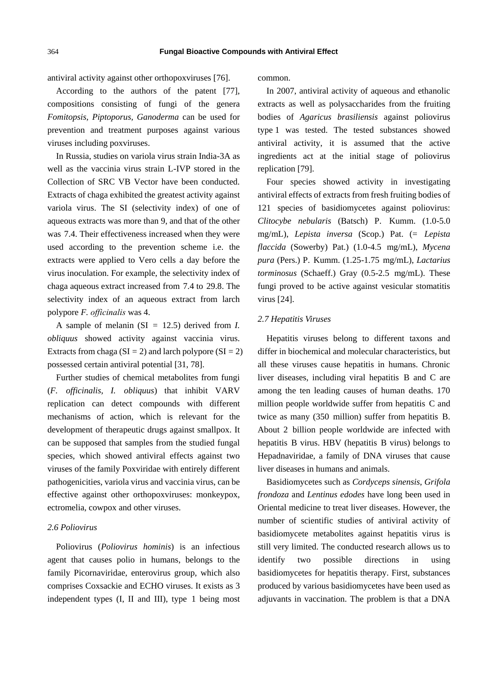antiviral activity against other orthopoxviruses [76].

According to the authors of the patent [77], compositions consisting of fungi of the genera *Fomitopsis, Piptoporus, Ganoderma* can be used for prevention and treatment purposes against various viruses including poxviruses.

In Russia, studies on variola virus strain India-3A as well as the vaccinia virus strain L-IVP stored in the Collection of SRC VB Vector have been conducted. Extracts of chaga exhibited the greatest activity against variola virus. The SI (selectivity index) of one of aqueous extracts was more than 9, and that of the other was 7.4. Their effectiveness increased when they were used according to the prevention scheme i.e. the extracts were applied to Vero cells a day before the virus inoculation. For example, the selectivity index of chaga aqueous extract increased from 7.4 to 29.8. The selectivity index of an aqueous extract from larch polypore *F. оfficinalis* was 4.

A sample of melanin (SI = 12.5) derived from *I. obliquus* showed activity against vaccinia virus. Extracts from chaga ( $SI = 2$ ) and larch polypore ( $SI = 2$ ) possessed certain antiviral potential [31, 78].

Further studies of chemical metabolites from fungi (*F. officinalis, I. obliquus*) that inhibit VARV replication can detect compounds with different mechanisms of action, which is relevant for the development of therapeutic drugs against smallpox. It can be supposed that samples from the studied fungal species, which showed antiviral effects against two viruses of the family Poxviridae with entirely different pathogenicities, variola virus and vaccinia virus, can be effective against other orthopoxviruses: monkeypox, ectromelia, cowpox and other viruses.

## *2.6 Poliovirus*

Poliovirus (*Poliovirus hominis*) is an infectious agent that causes polio in humans, belongs to the family Picornaviridae, enterovirus group, which also comprises Coxsackie and ECHO viruses. It exists as 3 independent types (I, II and III), type 1 being most common.

In 2007, antiviral activity of aqueous and ethanolic extracts as well as polysaccharides from the fruiting bodies of *Agaricus brasiliensis* against poliovirus type 1 was tested. The tested substances showed antiviral activity, it is assumed that the active ingredients act at the initial stage of poliovirus replication [79].

Four species showed activity in investigating antiviral effects of extracts from fresh fruiting bodies of 121 species of basidiomycetes against poliovirus: *Clitocybe nebularis* (Batsch) P. Kumm. (1.0-5.0 mg/mL), *Lepista inversa* (Scop.) Pat. (= *Lepista flaccida* (Sowerby) Pat.) (1.0-4.5 mg/mL), *Mycena pura* (Pers.) P. Kumm. (1.25-1.75 mg/mL), *Lactarius torminosus* (Schaeff.) Gray (0.5-2.5 mg/mL). These fungi proved to be active against vesicular stomatitis virus [24].

## *2.7 Hepatitis Viruses*

Hepatitis viruses belong to different taxons and differ in biochemical and molecular characteristics, but all these viruses cause hepatitis in humans. Chronic liver diseases, including viral hepatitis B and C are among the ten leading causes of human deaths. 170 million people worldwide suffer from hepatitis C and twice as many (350 million) suffer from hepatitis B. About 2 billion people worldwide are infected with hepatitis B virus. HBV (hepatitis B virus) belongs to Hepadnaviridae, a family of DNA viruses that cause liver diseases in humans and animals.

Basidiomycetes such as *Cordyceps sinensis*, *Grifola frondoza* and *Lentinus edodes* have long been used in Oriental medicine to treat liver diseases. However, the number of scientific studies of antiviral activity of basidiomycete metabolites against hepatitis virus is still very limited. The conducted research allows us to identify two possible directions in using basidiomycetes for hepatitis therapy. First, substances produced by various basidiomycetes have been used as adjuvants in vaccination. The problem is that a DNA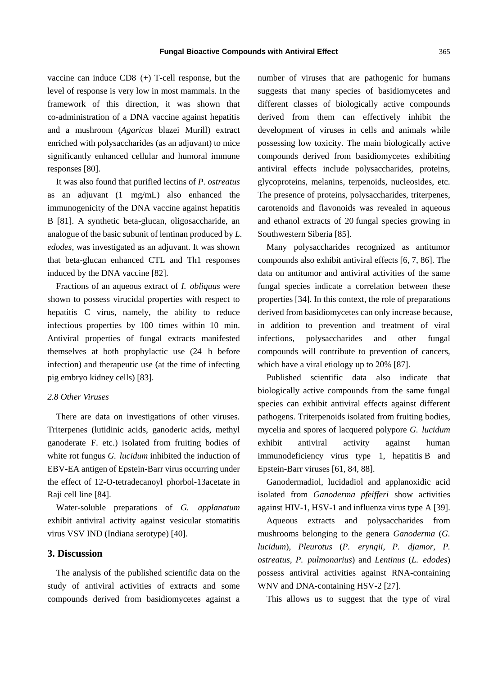vaccine can induce CD8 (+) T-cell response, but the level of response is very low in most mammals. In the framework of this direction, it was shown that co-administration of a DNA vaccine against hepatitis and a mushroom (*Agaricus* blazei Murill) extract enriched with polysaccharides (as an adjuvant) to mice significantly enhanced cellular and humoral immune responses [80].

It was also found that purified lectins of *P. ostreatus* as an adjuvant (1 mg/mL) also enhanced the immunogenicity of the DNA vaccine against hepatitis B [81]. A synthetic beta-glucan, oligosaccharide, an analogue of the basic subunit of lentinan produced by *L. edodes*, was investigated as an adjuvant. It was shown that beta-glucan enhanced CTL and Th1 responses induced by the DNA vaccine [82].

Fractions of an aqueous extract of *I. obliquus* were shown to possess virucidal properties with respect to hepatitis C virus, namely, the ability to reduce infectious properties by 100 times within 10 min. Antiviral properties of fungal extracts manifested themselves at both prophylactic use (24 h before infection) and therapeutic use (at the time of infecting pig embryo kidney cells) [83].

## *2.8 Other Viruses*

There are data on investigations of other viruses. Triterpenes (lutidinic acids, ganoderic acids, methyl ganoderate F. etc.) isolated from fruiting bodies of white rot fungus *G. lucidum* inhibited the induction of EBV-EA antigen of Epstein-Barr virus occurring under the effect of 12-O-tetradecanoyl phorbol-13acetate in Raji cell line [84].

Water-soluble preparations of *G. applanatum* exhibit antiviral activity against vesicular stomatitis virus VSV IND (Indiana serotype) [40].

## **3. Discussion**

The analysis of the published scientific data on the study of antiviral activities of extracts and some compounds derived from basidiomycetes against a number of viruses that are pathogenic for humans suggests that many species of basidiomycetes and different classes of biologically active compounds derived from them can effectively inhibit the development of viruses in cells and animals while possessing low toxicity. The main biologically active compounds derived from basidiomycetes exhibiting antiviral effects include polysaccharides, proteins, glycoproteins, melanins, terpenoids, nucleosides, etc. The presence of proteins, polysaccharides, triterpenes, carotenoids and flavonoids was revealed in aqueous and ethanol extracts of 20 fungal species growing in Southwestern Siberia [85].

Many polysaccharides recognized as antitumor compounds also exhibit antiviral effects [6, 7, 86]. The data on antitumor and antiviral activities of the same fungal species indicate a correlation between these properties [34]. In this context, the role of preparations derived from basidiomycetes can only increase because, in addition to prevention and treatment of viral infections, polysaccharides and other fungal compounds will contribute to prevention of cancers, which have a viral etiology up to 20% [87].

Published scientific data also indicate that biologically active compounds from the same fungal species can exhibit antiviral effects against different pathogens. Triterpenoids isolated from fruiting bodies, mycelia and spores of lacquered polypore *G. lucidum* exhibit antiviral activity against human immunodeficiency virus type 1, hepatitis B and Epstein-Barr viruses [61, 84, 88].

Ganodermadiol, lucidadiol and applanoxidic acid isolated from *Ganoderma pfeifferi* show activities against HIV-1, HSV-1 and influenza virus type A [39].

Aqueous extracts and polysaccharides from mushrooms belonging to the genera *Ganoderma* (*G. lucidum*), *Pleurotus* (*P. eryngii, P. djamor, P. ostreatus, P. pulmonarius*) and *Lentinus* (*L. edodes*) possess antiviral activities against RNA-containing WNV and DNA-containing HSV-2 [27].

This allows us to suggest that the type of viral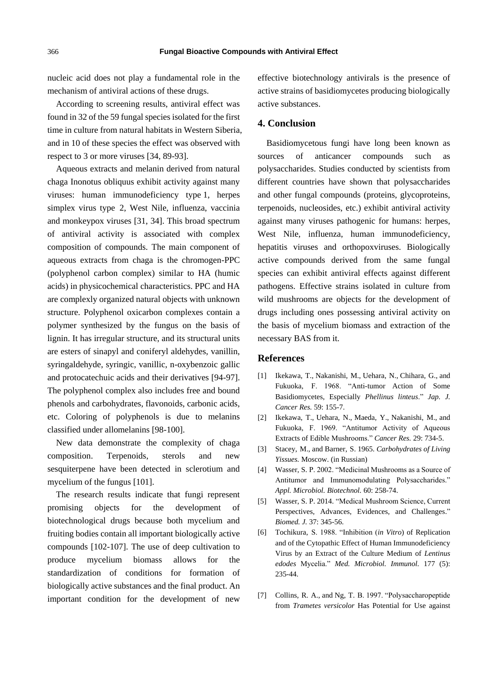nucleic acid does not play a fundamental role in the mechanism of antiviral actions of these drugs.

According to screening results, antiviral effect was found in 32 of the 59 fungal species isolated for the first time in culture from natural habitats in Western Siberia, and in 10 of these species the effect was observed with respect to 3 or more viruses [34, 89-93].

Aqueous extracts and melanin derived from natural chaga Inonotus obliquus exhibit activity against many viruses: human immunodeficiency type 1, herpes simplex virus type 2, West Nile, influenza, vaccinia and monkeypox viruses [31, 34]. This broad spectrum of antiviral activity is associated with complex composition of compounds. The main component of aqueous extracts from chaga is the chromogen-PPC (polyphenol carbon complex) similar to HA (humic acids) in physicochemical characteristics. PPC and HA are complexly organized natural objects with unknown structure. Polyphenol oxicarbon complexes contain a polymer synthesized by the fungus on the basis of lignin. It has irregular structure, and its structural units are esters of sinapyl and coniferyl aldehydes, vanillin, syringaldehyde, syringic, vanillic, n-oxybenzoic gallic and protocatechuic acids and their derivatives [94-97]. The polyphenol complex also includes free and bound phenols and carbohydrates, flavonoids, carbonic acids, etc. Coloring of polyphenols is due to melanins classified under allomelanins [98-100].

New data demonstrate the complexity of chaga composition. Terpenoids, sterols and new sesquiterpene have been detected in sclerotium and mycelium of the fungus [101].

The research results indicate that fungi represent promising objects for the development of biotechnological drugs because both mycelium and fruiting bodies contain all important biologically active compounds [102-107]. The use of deep cultivation to produce mycelium biomass allows for the standardization of conditions for formation of biologically active substances and the final product. An important condition for the development of new

effective biotechnology antivirals is the presence of active strains of basidiomycetes producing biologically active substances.

## **4. Conclusion**

Basidiomycetous fungi have long been known as sources of anticancer compounds such as polysaccharides. Studies conducted by scientists from different countries have shown that polysaccharides and other fungal compounds (proteins, glycoproteins, terpenoids, nucleosides, etc.) exhibit antiviral activity against many viruses pathogenic for humans: herpes, West Nile, influenza, human immunodeficiency, hepatitis viruses and orthopoxviruses. Biologically active compounds derived from the same fungal species can exhibit antiviral effects against different pathogens. Effective strains isolated in culture from wild mushrooms are objects for the development of drugs including ones possessing antiviral activity on the basis of mycelium biomass and extraction of the necessary BAS from it.

## **References**

- [1] Ikekawa, T., Nakanishi, M., Uehara, N., Chihara, G., and Fukuoka, F. 1968. "Anti-tumor Action of Some Basidiomycetes, Especially *Phellinus linteus*." *Jap. J. Cancer Res.* 59: 155-7.
- [2] Ikekawa, T., Uehara, N., Maeda, Y., Nakanishi, M., and Fukuoka, F. 1969. "Antitumor Activity of Aqueous Extracts of Edible Mushrooms." *Cancer Res.* 29: 734-5.
- [3] Stacey, M., and Barner, S. 1965. *Carbohydrates of Living Yissues.* Moscow. (in Russian)
- [4] Wasser, S. P. 2002. "Medicinal Mushrooms as a Source of Antitumor and Immunomodulating Polysaccharides." *Appl. Microbiol. Biotechnol.* 60: 258-74.
- [5] Wasser, S. P. 2014. "Medical Mushroom Science, Current Perspectives, Advances, Evidences, and Challenges." *Biomed. J.* 37: 345-56.
- [6] Tochikura, S. 1988. "Inhibition (*in Vitro*) of Replication and of the Cytopathic Effect of Human Immunodeficiency Virus by an Extract of the Culture Medium of *Lentinus edodes* Mycelia." *Med. Microbiol. Immunol.* 177 (5): 235-44.
- [7] Collins, R. A., and Ng, T. B. 1997. "Polysaccharopeptide from *Trametes versicolor* Has Potential for Use against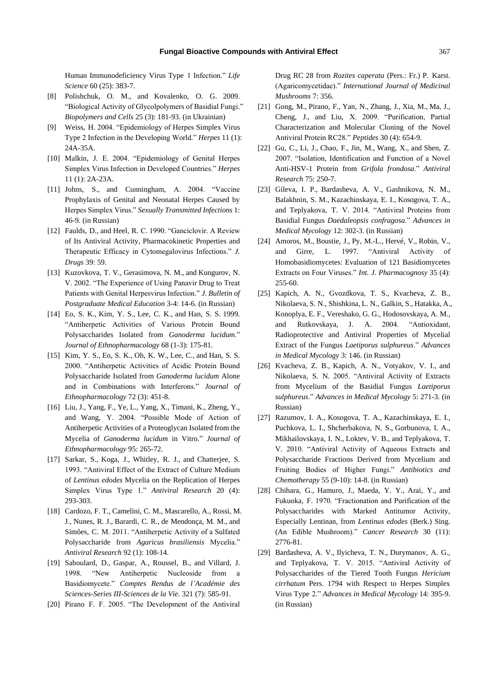Human Immunodeficiency Virus Type 1 Infection." *Life Science* 60 (25): 383-7.

- [8] Polishchuk, O. M., and Kovalenko, O. G. 2009. "Biological Activity of Glycolpolymers of Basidial Fungi." *Biopolymers and Cells* 25 (3): 181-93. (in Ukrainian)
- [9] Weiss, H. 2004. "Epidemiology of Herpes Simplex Virus Type 2 Infection in the Developing World." *Herpes* 11 (1): 24A-35A.
- [10] Malkin, J. E. 2004. "Epidemiology of Genital Herpes Simplex Virus Infection in Developed Countries." *Herpes* 11 (1): 2A-23A.
- [11] Johns, S., and Cunningham, A. 2004. "Vaccine Prophylaxis of Genital and Neonatal Herpes Caused by Herpes Simplex Virus." *Sexually Transmitted Infections* 1: 46-9. (in Russian)
- [12] Faulds, D., and Heel, R. C. 1990. "Ganciclovir. A Review of Its Antiviral Activity, Pharmacokinetic Properties and Therapeutic Efficacy in Cytomegalovirus Infections." *J. Drugs* 39: 59.
- [13] Kuzovkova, T. V., Gerasimova, N. M., and Kungurov, N. V. 2002. "The Experience of Using Panavir Drug to Treat Patients with Genital Herpesvirus Infection." *J. Bulletin of Postgraduate Medical Education* 3-4: 14-6. (in Russian)
- [14] Eo, S. K., Kim, Y. S., Lee, C. K., and Han, S. S. 1999. "Antiherpetic Activities of Various Protein Bound Polysaccharides Isolated from *Ganoderma lucidum*." *Journal of Ethnopharmacology* 68 (1-3): 175-81.
- [15] Kim, Y. S., Eo, S. K., Oh, K. W., Lee, C., and Han, S. S. 2000. "Antiherpetic Activities of Acidic Protein Bound Polysaccharide Isolated from *Ganoderma lucidum* Alone and in Combinations with Interferons." *Journal of Ethnopharmacology* 72 (3): 451-8.
- [16] Liu, J., Yang, F., Ye, L., Yang, X., Timani, K., Zheng, Y., and Wang, Y. 2004. "Possible Mode of Action of Antiherpetic Activities of a Proteoglycan Isolated from the Mycelia of *Ganoderma lucidum* in Vitro." *Journal of Ethnopharmacology* 95: 265-72.
- [17] Sarkar, S., Koga, J., Whitley, R. J., and Chatterjee, S. 1993. "Antiviral Effect of the Extract of Culture Medium of *Lentinus edodes* Mycelia on the Replication of Herpes Simplex Virus Type 1." *Antiviral Research* 20 (4): 293-303.
- [18] Cardozo, F. T., Camelini, C. M., Mascarello, A., Rossi, M. J., Nunes, R. J., Barardi, C. R., de Mendonça, M. M., and Simões, C. M. 2011. "Antiherpetic Activity of a Sulfated Polysaccharide from *Agaricus brasiliensis* Mycelia." *Antiviral Research* 92 (1): 108-14.
- [19] Saboulard, D., Gaspar, A., Roussel, B., and Villard, J. 1998. "New Antiherpetic Nucleoside from a Basidiomycete." *Comptes Rendus de l'Académie des Sciences-Series III-Sciences de la Vie.* 321 (7): 585-91.
- [20] Pirano F. F. 2005. "The Development of the Antiviral

Drug RC 28 from *Rozites caperata* (Pers.: Fr.) P. Karst. (Agaricomycetidae)." *International Journal of Medicinal Mushrooms* 7: 356.

- [21] Gong, M., Pirano, F., Yan, N., Zhang, J., Xia, M., Ma, J., Cheng, J., and Liu, X. 2009. "Purification, Partial Characterization and Molecular Cloning of the Novel Antiviral Protein RC28." *Peptides* 30 (4): 654-9.
- [22] Gu, C., Li, J., Chao, F., Jin, M., Wang, X., and Shen, Z. 2007. "Isolation, Identification and Function of a Novel Anti-HSV-1 Protein from *Grifola frondosa*." *Antiviral Research* 75: 250-7.
- [23] Gileva, I. P., Bardasheva, A. V., Gashnikova, N. M., Balakhnin, S. M., Kazachinskaya, E. I., Kosogova, T. A., and Teplyakova, T. V. 2014. "Antiviral Proteins from Basidial Fungus *Daedaleopsis confragosa*." *Advances in Medical Mycology* 12: 302-3. (in Russian)
- [24] Amoros, M., Boustie, J., Py, M.-L., Hervé, V., Robin, V., and Girre, L. 1997. "Antiviral Activity of Homobasidiomycetes: Evaluation of 121 Basidiomycetes Extracts on Four Viruses." *Int. J. Pharmacognosy* 35 (4): 255-60.
- [25] Kapich, A. N., Gvozdkova, T. S., Kvacheva, Z. B., Nikolaeva, S. N., Shishkina, L. N., Galkin, S., Hatakka, A., Konoplya, E. F., Vereshako, G. G., Hodosovskaya, A. M., and Rutkovskaya, J. A. 2004. "Antioxidant, Radioprotective and Antiviral Properties of Mycelial Extract of the Fungus *Laetiporus sulphureus*." *Advances in Medical Mycology* 3: 146. (in Russian)
- [26] Kvacheva, Z. B., Kapich, A. N., Votyakov, V. I., and Nikolaeva, S. N. 2005. "Antiviral Activity of Extracts from Mycelium of the Basidial Fungus *Laetiporus sulphureus*." *Advances in Medical Mycology* 5: 271-3. (in Russian)
- [27] Razumov, I. A., Kosogova, T. A., Kazachinskaya, E. I., Puchkova, L. I., Shcherbakova, N. S., Gorbunova, I. A., Mikhailovskaya, I. N., Loktev, V. B., and Teplyakova, T. V. 2010. "Antiviral Activity of Aqueous Extracts and Polysaccharide Fractions Derived from Mycelium and Fruiting Bodies of Higher Fungi." *Antibiotics and Chemotherapy* 55 (9-10): 14-8. (in Russian)
- [28] Chihara, G., Hamuro, J., Maeda, Y. Y., Arai, Y., and Fukuoka, F. 1970. "Fractionation and Purification of the Polysaccharides with Marked Antitumor Activity, Especially Lentinan, from *Lentinus edodes* (Berk.) Sing. (An Edible Mushroom)." *Cancer Research* 30 (11): 2776-81.
- [29] Bardasheva, A. V., Ilyicheva, T. N., Durymanov, A. G., and Teplyakova, T. V. 2015. "Antiviral Activity of Polysaccharides of the Tiered Tooth Fungus *Hericium cirrhatum* Pers. 1794 with Respect to Herpes Simplex Virus Type 2." *Advances in Medical Mycology* 14: 395-9. (in Russian)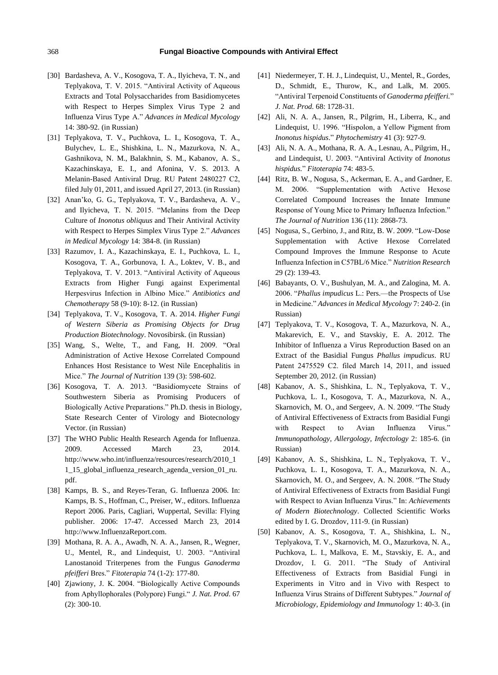#### 368 **Fungal Bioactive Compounds with Antiviral Effect**

- [30] Bardasheva, A. V., Kosogova, T. A., Ilyicheva, T. N., and Teplyakova, T. V. 2015. "Antiviral Activity of Aqueous Extracts and Total Polysaccharides from Basidiomycetes with Respect to Herpes Simplex Virus Type 2 and Influenza Virus Type A." *Advances in Medical Mycology* 14: 380-92. (in Russian)
- [31] Teplyakova, T. V., Puchkova, L. I., Kosogova, T. A., Bulychev, L. E., Shishkina, L. N., Mazurkova, N. A., Gashnikova, N. M., Balakhnin, S. M., Kabanov, A. S., Kazachinskaya, E. I., and Afonina, V. S. 2013. A Melanin-Based Antiviral Drug. RU Patent 2480227 С2, filed July 01, 2011, and issued April 27, 2013. (in Russian)
- [32] Anan'ko, G. G., Teplyakova, T. V., Bardasheva, A. V., and Ilyicheva, T. N. 2015. "Melanins from the Deep Culture of *Inonotus obliquus* and Their Antiviral Activity with Respect to Herpes Simplex Virus Type 2." *Advances in Medical Mycology* 14: 384-8. (in Russian)
- [33] Razumov, I. A., Kazachinskaya, E. I., Puchkova, L. I., Kosogova, T. A., Gorbunova, I. A., Loktev, V. B., and Teplyakova, T. V. 2013. "Antiviral Activity of Aqueous Extracts from Higher Fungi against Experimental Herpesvirus Infection in Albino Mice." *Antibiotics and Chemotherapy* 58 (9-10): 8-12. (in Russian)
- [34] Teplyakova, T. V., Kosogova, T. A. 2014. *Higher Fungi of Western Siberia as Promising Objects for Drug Production Biotechnology*. Novosibirsk. (in Russian)
- [35] Wang, S., Welte, T., and Fang, H. 2009. "Oral Administration of Active Hexose Correlated Compound Enhances Host Resistance to West Nile Encephalitis in Mice." *The Journal of Nutrition* 139 (3): 598-602.
- [36] Kosogova, T. A. 2013. "Basidiomycete Strains of Southwestern Siberia as Promising Producers of Biologically Active Preparations." Ph.D. thesis in Biology, State Research Center of Virology and Biotecnology Vector. (in Russian)
- [37] The WHO Public Health Research Agenda for Influenza. 2009. Accessed March 23, 2014. http://www.who.int/influenza/resources/research/2010\_1 1\_15\_global\_influenza\_research\_agenda\_version\_01\_ru. pdf.
- [38] Kamps, B. S., and Reyes-Teran, G. Influenza 2006. In: Kamps, B. S., Hoffman, C., Preiser, W., editors. Influenza Report 2006. Paris, Cagliari, Wuppertal, Sevilla: Flying publisher. 2006: 17-47. Accessed March 23, 2014 http://www.InfluenzaReport.com.
- [39] Mothana, R. A. A., Awadh, N. A. A., Jansen, R., Wegner, U., Mentel, R., and Lindequist, U. 2003. "Antiviral Lanostanoid Triterpenes from the Fungus *Ganoderma pfeifferi* Bres." *Fitoterapia* 74 (1-2): 177-80.
- [40] Zjawiony, J. K. 2004. "Biologically Active Compounds from Aphyllophorales (Polypore) Fungi." *J. Nat. Prod*. 67 (2): 300-10.
- [41] Niedermeyer, T. H. J., Lindequist, U., Mentel, R., Gordes, D., Schmidt, E., Thurow, K., and Lalk, M. 2005. "Antiviral Terpenoid Constituents of *Ganoderma pfeifferi.*" *J. Nat. Prod.* 68: 1728-31.
- [42] Ali, N. A. A., Jansen, R., Pilgrim, H., Liberra, K., and Lindequist, U. 1996. "Hispolon, a Yellow Pigment from *Inonotus hispidus*." *Phytochemistry* 41 (3): 927-9.
- [43] Ali, N. A. A., Mothana, R. A. A., Lesnau, A., Pilgrim, H., and Lindequist, U. 2003. "Antiviral Activity of *Inonotus hispidus.*" *Fitoterapia* 74: 483-5.
- [44] Ritz, B. W., Nogusa, S., Ackerman, E. A., and Gardner, E. M. 2006. "Supplementation with Active Hexose Correlated Compound Increases the Innate Immune Response of Young Mice to Primary Influenza Infection." *The Journal of Nutrition* 136 (11): 2868-73.
- [45] Nogusa, S., Gerbino, J., and Ritz, B. W. 2009. "Low-Dose Supplementation with Active Hexose Correlated Compound Improves the Immune Response to Acute Influenza Infection in C57BL/6 Mice." *Nutrition Research* 29 (2): 139-43.
- [46] Babayants, O. V., Bushulyan, M. A., and Zalogina, M. A. 2006. "*Phallus impudicus* L.: Pers.—the Prospects of Use in Medicine." *Advances in Medical Mycology* 7: 240-2. (in Russian)
- [47] Teplyakova, T. V., Kosogova, T. A., Mazurkova, N. A., Makarevich, E. V., and Stavskiy, E. A. 2012. The Inhibitor of Influenza a Virus Reproduction Based on an Extract of the Basidial Fungus *Phallus impudicus*. RU Patent 2475529 С2. filed March 14, 2011, and issued September 20, 2012. (in Russian)
- [48] Kabanov, A. S., Shishkina, L. N., Teplyakova, T. V., Puchkova, L. I., Kosogova, T. A., Mazurkova, N. A., Skarnovich, M. O., and Sergeev, A. N. 2009. "The Study of Antiviral Effectiveness of Extracts from Basidial Fungi with Respect to Avian Influenza Virus." *Immunopathology, Allergology, Infectology* 2: 185-6. (in Russian)
- [49] Kabanov, A. S., Shishkina, L. N., Teplyakova, T. V., Puchkova, L. I., Kosogova, T. A., Mazurkova, N. A., Skarnovich, M. O., and Sergeev, A. N. 2008. "The Study of Antiviral Effectiveness of Extracts from Basidial Fungi with Respect to Avian Influenza Virus." In: *Achievements of Modern Biotechnology*. Collected Scientific Works edited by I. G. Drozdov, 111-9. (in Russian)
- [50] Kabanov, A. S., Kosogova, T. A., Shishkina, L. N., Teplyakova, T. V., Skarnovich, M. O., Mazurkova, N. A., Puchkova, L. I., Malkova, E. M., Stavskiy, E. A., and Drozdov, I. G. 2011. "The Study of Antiviral Effectiveness of Extracts from Basidial Fungi in Experiments in Vitro and in Vivo with Respect to Influenza Virus Strains of Different Subtypes." *Journal of Microbiology, Epidemiology and Immunology* 1: 40-3. (in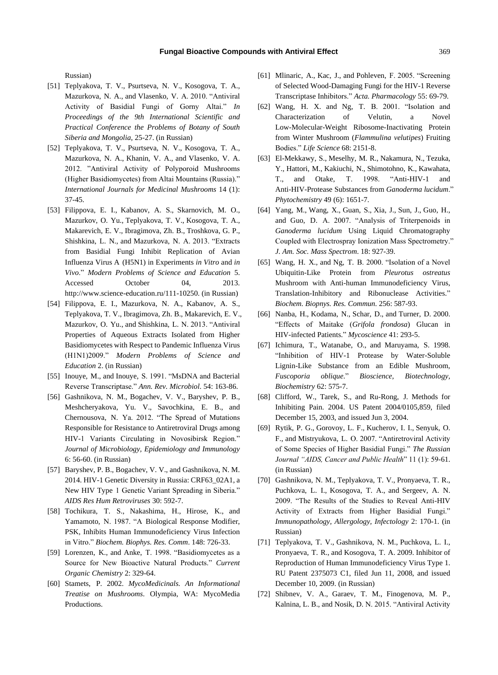Russian)

- [51] Teplyakova, T. V., Psurtseva, N. V., Kosogova, T. A., Mazurkova, N. A., and Vlasenko, V. A. 2010. "Antiviral Activity of Basidial Fungi of Gorny Altai." *In Proceedings of the 9th International Scientific and Practical Conference the Problems of Botany of South Siberia and Mongolia*, 25-27. (in Russian)
- [52] Teplyakova, T. V., Psurtseva, N. V., Kosogova, T. A., Mazurkova, N. A., Khanin, V. A., and Vlasenko, V. A. 2012. "Antiviral Activity of Polyporoid Mushrooms (Higher Basidiomycetes) from Altai Mountains (Russia)." *International Journals for Medicinal Mushrooms* 14 (1): 37-45.
- [53] Filippova, E. I., Kabanov, A. S., Skarnovich, M. O., Mazurkov, O. Yu., Teplyakova, T. V., Kosogova, T. A., Makarevich, E. V., Ibragimova, Zh. B., Troshkova, G. P., Shishkina, L. N., and Mazurkova, N. A. 2013. "Extracts from Basidial Fungi Inhibit Replication of Avian Influenza Virus A (H5N1) in Experiments *in Vitro* and *in Vivo*." *Modern Problems of Science and Education* 5. Accessed October 04, 2013. http://www.science-education.ru/111-10250. (in Russian)
- [54] Filippova, E. I., Mazurkova, N. A., Kabanov, A. S., Teplyakova, T. V., Ibragimova, Zh. B., Makarevich, E. V., Mazurkov, O. Yu., and Shishkina, L. N. 2013. "Antiviral Properties of Aqueous Extracts Isolated from Higher Basidiomycetes with Respect to Pandemic Influenza Virus (H1N1)2009." *Modern Problems of Science and Education* 2. (in Russian)
- [55] Inouye, M., and Inouye, S. 1991. "MsDNA and Bacterial Reverse Transcriptase." *Ann. Rev. Microbiol*. 54: 163-86.
- [56] Gashnikova, N. M., Bogachev, V. V., Baryshev, P. B., Meshcheryakova, Yu. V., Savochkina, E. B., and Chernousova, N. Ya. 2012. "The Spread of Mutations Responsible for Resistance to Antiretroviral Drugs among HIV-1 Variants Circulating in Novosibirsk Region." *Journal of Microbiology, Epidemiology and Immunology* 6: 56-60. (in Russian)
- [57] Baryshev, P. B., Bogachev, V. V., and Gashnikova, N. M. 2014. HIV-1 Genetic Diversity in Russia: CRF63\_02A1, a New HIV Type 1 Genetic Variant Spreading in Siberia." *AIDS Res Hum Retroviruses* 30: 592-7.
- [58] Tochikura, T. S., Nakashima, H., Hirose, K., and Yamamoto, N. 1987. "A Biological Response Modifier, PSK, Inhibits Human Immunodeficiency Virus Infection in Vitro." *Biochem. Biophys. Res. Comm*. 148: 726-33.
- [59] Lorenzen, K., and Anke, T. 1998. "Basidiomycetes as a Source for New Bioactive Natural Products." *Current Organic Chemistry* 2: 329-64.
- [60] Stamets, P. 2002. *MycoMedicinals. An Informational Treatise on Mushrooms*. Olympia, WA: MycoMedia Productions.
- [61] Mlinaric, A., Kac, J., and Pohleven, F. 2005. "Screening of Selected Wood-Damaging Fungi for the HIV-1 Reverse Transcriptase Inhibitors." *Acta. Pharmacology* 55: 69-79.
- [62] Wang, H. X. and Ng, T. B. 2001. "Isolation and Characterization of Velutin, a Novel Low-Molecular-Weight Ribosome-Inactivating Protein from Winter Mushroom (*Flammulina velutipes*) Fruiting Bodies." *Life Science* 68: 2151-8.
- [63] El-Mekkawy, S., Meselhy, M. R., Nakamura, N., Tezuka, Y., Hattori, M., Kakiuchi, N., Shimotohno, K., Kawahata, T., and Otake, T. 1998. "Anti-HIV-1 and Anti-HIV-Protease Substances from *Ganoderma lucidum*." *Phytochemistry* 49 (6): 1651-7.
- [64] Yang, M., Wang, X., Guan, S., Xia, J., Sun, J., Guo, H., and Guo, D. A. 2007. "Analysis of Triterpenoids in *Ganoderma lucidum* Using Liquid Chromatography Coupled with Electrospray Ionization Mass Spectrometry." *J. Am. Soc. Mass Spectrom*. 18: 927-39.
- [65] Wang, H. X., and Ng, T. B. 2000. "Isolation of a Novel Ubiquitin-Like Protein from *Pleurotus ostreatus* Mushroom with Anti-human Immunodeficiency Virus, Translation-Inhibitory and Ribonuclease Activities." *Biochem. Biopnys. Res. Commun*. 256: 587-93.
- [66] Nanba, H., Kodama, N., Schar, D., and Turner, D. 2000. "Effects of Maitake (*Grifola frondosa*) Glucan in HIV-infected Patients." *Mycoscience* 41: 293-5.
- [67] Ichimura, T., Watanabe, O., and Maruyama, S. 1998. "Inhibition of HIV-1 Protease by Water-Soluble Lignin-Like Substance from an Edible Mushroom, *Fuscoporia oblique*." *Bioscience, Biotechnology, Biochemistry* 62: 575-7.
- [68] Clifford, W., Tarek, S., and Ru-Rong, J. Methods for Inhibiting Pain. 2004. US Patent 2004/0105,859, filed December 15, 2003, and issued Jun 3, 2004.
- [69] Rytik, P. G., Gorovoy, L. F., Kucherov, I. I., Senyuk, O. F., and Mistryukova, L. O. 2007. "Antiretroviral Activity of Some Species of Higher Basidial Fungi." *The Russian Journal "AIDS, Cancer and Public Health*" 11 (1): 59-61. (in Russian)
- [70] Gashnikova, N. M., Teplyakova, T. V., Pronyaeva, T. R., Puchkova, L. I., Kosogova, T. A., and Sergeev, A. N. 2009. "The Results of the Studies to Reveal Anti-HIV Activity of Extracts from Higher Basidial Fungi." *Immunopathology, Allergology, Infectology* 2: 170-1. (in Russian)
- [71] Teplyakova, T. V., Gashnikova, N. M., Puchkova, L. I., Pronyaeva, T. R., and Kosogova, T. A. 2009. Inhibitor of Reproduction of Human Immunodeficiency Virus Type 1. RU Patent 2375073 C1, filed Jun 11, 2008, and issued December 10, 2009. (in Russian)
- [72] Shibnev, V. A., Garaev, T. M., Finogenova, M. P., Kalnina, L. B., and Nosik, D. N. 2015. "Antiviral Activity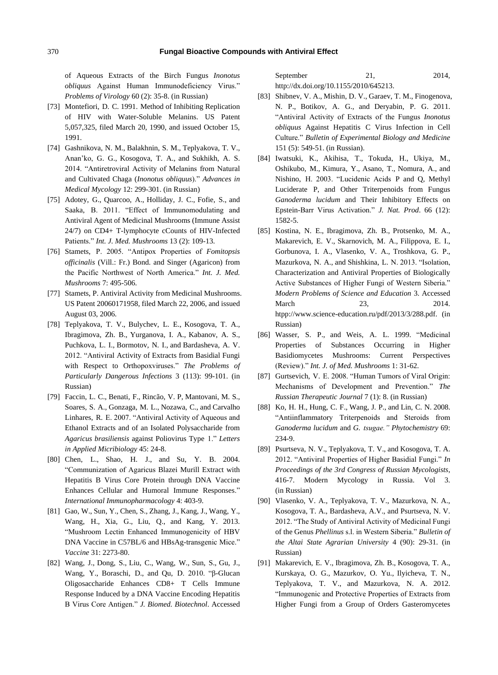of Aqueous Extracts of the Birch Fungus *Inonotus obliquus* Against Human Immunodeficiency Virus." *Problems of Virology* 60 (2): 35-8. (in Russian)

- [73] Montefiori, D. C. 1991. Method of Inhibiting Replication of HIV with Water-Soluble Melanins. US Patent 5,057,325, filed March 20, 1990, and issued October 15, 1991.
- [74] Gashnikova, N. M., Balakhnin, S. M., Teplyakova, T. V., Anan'ko, G. G., Kosogova, T. A., and Sukhikh, A. S. 2014. "Antiretroviral Activity of Melanins from Natural and Cultivated Chaga (*Inonotus obliquus*)." *Advances in Medical Mycology* 12: 299-301. (in Russian)
- [75] Adotey, G., Quarcoo, A., Holliday, J. C., Fofie, S., and Saaka, B. 2011. "Effect of Immunomodulating and Antiviral Agent of Medicinal Mushrooms (Immune Assist 24/7) on CD4+ T-lymphocyte cCounts of HIV-Infected Patients." *Int. J. Med. Mushrooms* 13 (2): 109-13.
- [76] Stamets, P. 2005. "Antipox Properties of *Fomitopsis officinalis* (Vill.: Fr.) Bond. and Singer (Agaricon) from the Pacific Northwest of North America." *Int. J. Med. Mushrooms* 7: 495-506.
- [77] Stamets, P. Antiviral Activity from Medicinal Mushrooms. US Patent 20060171958, filed March 22, 2006, and issued August 03, 2006.
- [78] Teplyakova, T. V., Bulychev, L. E., Kosogova, T. A., Ibragimova, Zh. B., Yurganova, I. A., Kabanov, A. S., Puchkova, L. I., Bormotov, N. I., and Bardasheva, A. V. 2012. "Antiviral Activity of Extracts from Basidial Fungi with Respect to Orthopoxviruses." *The Problems of Particularly Dangerous Infections* 3 (113): 99-101. (in Russian)
- [79] Faccin, L. C., Benati, F., Rincão, V. P, Mantovani, M. S., Soares, S. A., Gonzaga, M. L., Nozawa, C., and Carvalho Linhares, R. E. 2007. "Antiviral Activity of Aqueous and Ethanol Extracts and of an Isolated Polysaccharide from *Agaricus brasiliensis* against Poliovirus Type 1." *Letters in Applied Micribiology* 45: 24-8.
- [80] Chen, L., Shao, H. J., and Su, Y. B. 2004. "Communization of Agaricus Blazei Murill Extract with Hepatitis B Virus Core Protein through DNA Vaccine Enhances Cellular and Humoral Immune Responses." *International Immunopharmacology* 4: 403-9.
- [81] Gao, W., Sun, Y., Chen, S., Zhang, J., Kang, J., Wang, Y., Wang, H., Xia, G., Liu, Q., and Kang, Y. 2013. "Mushroom Lectin Enhanced Immunogenicity of HBV DNA Vaccine in C57BL/6 and HBsAg-transgenic Mice." *Vaccine* 31: 2273-80.
- [82] Wang, J., Dong, S., Liu, C., Wang, W., Sun, S., Gu, J., Wang, Y., Boraschi, D., and Qu, D. 2010. "β-Glucan Oligosaccharide Enhances CD8+ T Cells Immune Response Induced by a DNA Vaccine Encoding Hepatitis B Virus Core Antigen." *J. Biomed. Biotechnol*. Accessed

September 21, 2014, [http://dx.doi.org/10.1155/2010/645213.](http://dx.doi.org/10.1155/2010/645213)

- [83] Shibnev, V. A., Mishin, D. V., Garaev, T. M., Finogenova, N. P., Botikov, A. G., and Deryabin, P. G. 2011. "Antiviral Activity of Extracts of the Fungus *Inonotus obliquus* Against Hepatitis C Virus Infection in Cell Culture." *Bulletin of Experimental Biology and Medicine* 151 (5): 549-51. (in Russian).
- [84] Iwatsuki, K., Akihisa, T., Tokuda, H., Ukiya, M., Oshikubo, M., Kimura, Y., Asano, T., Nomura, A., and Nishino, H. 2003. "Lucidenic Acids P and Q, Methyl Luciderate P, and Other Triterpenoids from Fungus *Ganoderma lucidum* and Their Inhibitory Effects on Epstein-Barr Virus Activation." *J. Nat. Prod*. 66 (12): 1582-5.
- [85] Kostina, N. E., Ibragimova, Zh. B., Protsenko, M. A., Makarevich, E. V., Skarnovich, M. A., Filippova, E. I., Gorbunova, I. A., Vlasenko, V. A., Troshkova, G. P., Mazurkova, N. A., and Shishkina, L. N. 2013. "Isolation, Characterization and Antiviral Properties of Biologically Active Substances of Higher Fungi of Western Siberia." *Modern Problems of Science and Education* 3. Accessed March 23, 2014. htpp://www.science-education.ru/pdf/2013/3/288.pdf. (in Russian)
- [86] Wasser, S. P., and Weis, A. L. 1999. "Medicinal Properties of Substances Occurring in Higher Basidiomycetes Mushrooms: Current Perspectives (Review)." *Int. J. of Med. Mushrooms* 1: 31-62.
- [87] Gurtsevich, V. E. 2008. "Human Tumors of Viral Origin: Mechanisms of Development and Prevention." *The Russian Therapeutic Journal* 7 (1): 8. (in Russian)
- [88] Ko, H. H., Hung, C. F., Wang, J. P., and Lin, C. N. 2008. "Antiinflammatory Triterpenoids and Steroids from *Ganoderma lucidum* and *G. tsugae." Phytochemistry* 69: 234-9.
- [89] Psurtseva, N. V., Teplyakova, T. V., and Kosogova, T. A. 2012. "Antiviral Properties of Higher Basidial Fungi." *In Proceedings of the 3rd Congress of Russian Mycologists*, 416-7. Modern Mycology in Russia. Vol 3. (in Russian)
- [90] Vlasenko, V. A., Teplyakova, T. V., Mazurkova, N. A., Kosogova, T. A., Bardasheva, A.V., and Psurtseva, N. V. 2012. "The Study of Antiviral Activity of Medicinal Fungi of the Genus *Phellinus* s.l. in Western Siberia." *Bulletin of the Altai State Agrarian University* 4 (90): 29-31. (in Russian)
- [91] Makarevich, E. V., Ibragimova, Zh. B., Kosogova, T. A., Kurskaya, O. G., Mazurkov, O. Yu., Ilyicheva, T. N., Teplyakova, T. V., and Mazurkova, N. A. 2012. "Immunogenic and Protective Properties of Extracts from Higher Fungi from a Group of Orders Gasteromycetes